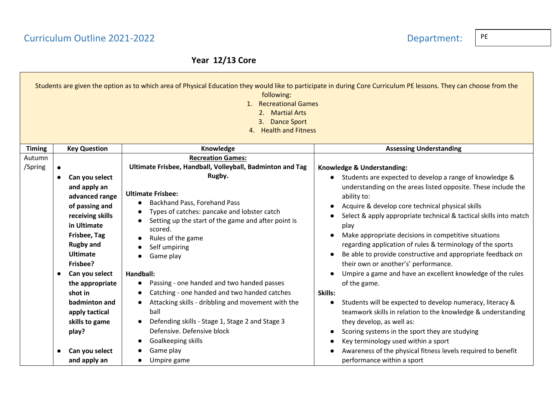## Curriculum Outline 2021-2022 **Department:**

### **Year 12/13 Core**

|               |                                                                                                                                                                                       | following:<br>1. Recreational Games<br>2. Martial Arts<br>3. Dance Sport<br>4. Health and Fitness                                                                                                                                                                                                                                | Students are given the option as to which area of Physical Education they would like to participate in during Core Curriculum PE lessons. They can choose from the                                                                                                                                                                                                                                                                                                                                                 |
|---------------|---------------------------------------------------------------------------------------------------------------------------------------------------------------------------------------|----------------------------------------------------------------------------------------------------------------------------------------------------------------------------------------------------------------------------------------------------------------------------------------------------------------------------------|--------------------------------------------------------------------------------------------------------------------------------------------------------------------------------------------------------------------------------------------------------------------------------------------------------------------------------------------------------------------------------------------------------------------------------------------------------------------------------------------------------------------|
| <b>Timing</b> | <b>Key Question</b>                                                                                                                                                                   | Knowledge                                                                                                                                                                                                                                                                                                                        | <b>Assessing Understanding</b>                                                                                                                                                                                                                                                                                                                                                                                                                                                                                     |
| Autumn        |                                                                                                                                                                                       | <b>Recreation Games:</b>                                                                                                                                                                                                                                                                                                         |                                                                                                                                                                                                                                                                                                                                                                                                                                                                                                                    |
| /Spring       |                                                                                                                                                                                       | Ultimate Frisbee, Handball, Volleyball, Badminton and Tag                                                                                                                                                                                                                                                                        | Knowledge & Understanding:                                                                                                                                                                                                                                                                                                                                                                                                                                                                                         |
|               | Can you select<br>$\bullet$<br>and apply an<br>advanced range<br>of passing and<br>receiving skills<br>in Ultimate<br>Frisbee, Tag<br><b>Rugby and</b><br><b>Ultimate</b><br>Frisbee? | Rugby.<br><b>Ultimate Frisbee:</b><br>Backhand Pass, Forehand Pass<br>$\bullet$<br>Types of catches: pancake and lobster catch<br>Setting up the start of the game and after point is<br>$\bullet$<br>scored.<br>Rules of the game<br>Self umpiring<br>Game play                                                                 | Students are expected to develop a range of knowledge &<br>$\bullet$<br>understanding on the areas listed opposite. These include the<br>ability to:<br>Acquire & develop core technical physical skills<br>Select & apply appropriate technical & tactical skills into match<br>play<br>Make appropriate decisions in competitive situations<br>regarding application of rules & terminology of the sports<br>Be able to provide constructive and appropriate feedback on<br>their own or another's' performance. |
|               | Can you select<br>the appropriate<br>shot in<br>badminton and<br>apply tactical<br>skills to game<br>play?                                                                            | Handball:<br>Passing - one handed and two handed passes<br>Catching - one handed and two handed catches<br>$\bullet$<br>Attacking skills - dribbling and movement with the<br>$\bullet$<br>ball<br>Defending skills - Stage 1, Stage 2 and Stage 3<br>$\bullet$<br>Defensive. Defensive block<br>Goalkeeping skills<br>$\bullet$ | Umpire a game and have an excellent knowledge of the rules<br>of the game.<br>Skills:<br>Students will be expected to develop numeracy, literacy &<br>$\bullet$<br>teamwork skills in relation to the knowledge & understanding<br>they develop, as well as:<br>Scoring systems in the sport they are studying<br>$\bullet$<br>Key terminology used within a sport                                                                                                                                                 |
|               | Can you select<br>and apply an                                                                                                                                                        | Game play<br>Umpire game                                                                                                                                                                                                                                                                                                         | Awareness of the physical fitness levels required to benefit<br>performance within a sport                                                                                                                                                                                                                                                                                                                                                                                                                         |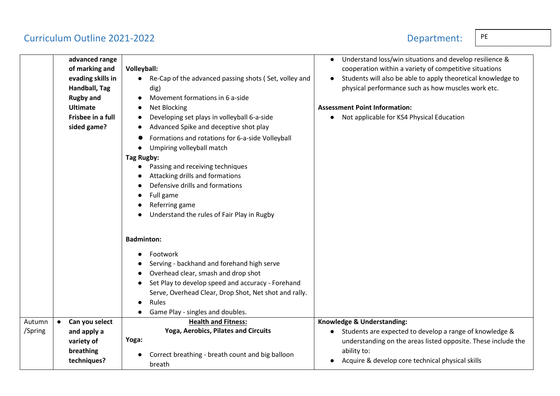### Curriculum Outline 2021-2022 **Department:**

**advanced range of marking and evading skills in Handball, Tag Rugby and Ultimate Frisbee in a full sided game? Volleyball:**  ● Re-Cap of the advanced passing shots ( Set, volley and dig) ● Movement formations in 6 a-side ● Net Blocking Developing set plays in volleyball 6-a-side Advanced Spike and deceptive shot play Formations and rotations for 6-a-side Volleyball ● Umpiring volleyball match **Tag Rugby:** ● Passing and receiving techniques Attacking drills and formations Defensive drills and formations Full game Referring game Understand the rules of Fair Play in Rugby **Badminton: Footwork** Serving - backhand and forehand high serve ● Overhead clear, smash and drop shot ● Set Play to develop speed and accuracy - Forehand Serve, Overhead Clear, Drop Shot, Net shot and rally. **Rules** ● Game Play - singles and doubles. ● Understand loss/win situations and develop resilience & cooperation within a variety of competitive situations ● Students will also be able to apply theoretical knowledge to physical performance such as how muscles work etc. **Assessment Point Information:** ● Not applicable for KS4 Physical Education Autumn /Spring ● **Can you select and apply a variety of breathing techniques? Health and Fitness: Yoga, Aerobics, Pilates and Circuits Yoga:** ● Correct breathing - breath count and big balloon breath **Knowledge & Understanding:** ● Students are expected to develop a range of knowledge & understanding on the areas listed opposite. These include the ability to: ● Acquire & develop core technical physical skills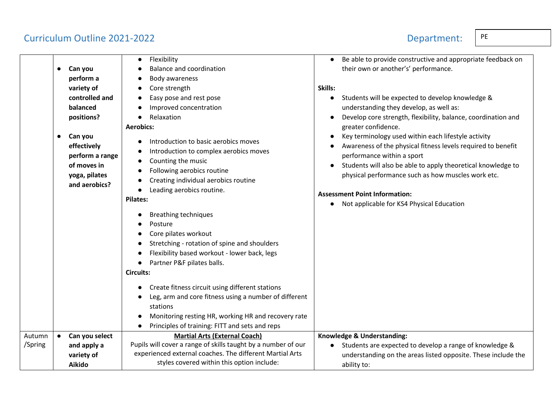## Curriculum Outline 2021-2022  $\vert$  PE

|  |  | Dona |
|--|--|------|

|                   | Can you<br>$\bullet$<br>perform a<br>variety of<br>controlled and<br>balanced<br>positions?<br>Can you<br>$\bullet$<br>effectively<br>perform a range<br>of moves in<br>yoga, pilates<br>and aerobics? | Flexibility<br><b>Balance and coordination</b><br>Body awareness<br>Core strength<br>Easy pose and rest pose<br>Improved concentration<br>Relaxation<br><b>Aerobics:</b><br>Introduction to basic aerobics moves<br>Introduction to complex aerobics moves<br>Counting the music<br>Following aerobics routine<br>Creating individual aerobics routine                                                                                                                                            | Be able to provide constructive and appropriate feedback on<br>$\bullet$<br>their own or another's' performance.<br>Skills:<br>Students will be expected to develop knowledge &<br>understanding they develop, as well as:<br>Develop core strength, flexibility, balance, coordination and<br>greater confidence.<br>Key terminology used within each lifestyle activity<br>Awareness of the physical fitness levels required to benefit<br>performance within a sport<br>Students will also be able to apply theoretical knowledge to<br>physical performance such as how muscles work etc. |
|-------------------|--------------------------------------------------------------------------------------------------------------------------------------------------------------------------------------------------------|---------------------------------------------------------------------------------------------------------------------------------------------------------------------------------------------------------------------------------------------------------------------------------------------------------------------------------------------------------------------------------------------------------------------------------------------------------------------------------------------------|-----------------------------------------------------------------------------------------------------------------------------------------------------------------------------------------------------------------------------------------------------------------------------------------------------------------------------------------------------------------------------------------------------------------------------------------------------------------------------------------------------------------------------------------------------------------------------------------------|
|                   |                                                                                                                                                                                                        | Leading aerobics routine.<br><b>Pilates:</b><br><b>Breathing techniques</b><br>Posture<br>Core pilates workout<br>Stretching - rotation of spine and shoulders<br>Flexibility based workout - lower back, legs<br>Partner P&F pilates balls.<br><b>Circuits:</b><br>Create fitness circuit using different stations<br>Leg, arm and core fitness using a number of different<br>stations<br>Monitoring resting HR, working HR and recovery rate<br>Principles of training: FITT and sets and reps | <b>Assessment Point Information:</b><br>Not applicable for KS4 Physical Education<br>$\bullet$                                                                                                                                                                                                                                                                                                                                                                                                                                                                                                |
| Autumn<br>/Spring | Can you select<br>$\bullet$<br>and apply a<br>variety of<br>Aikido                                                                                                                                     | <b>Martial Arts (External Coach)</b><br>Pupils will cover a range of skills taught by a number of our<br>experienced external coaches. The different Martial Arts<br>styles covered within this option include:                                                                                                                                                                                                                                                                                   | Knowledge & Understanding:<br>Students are expected to develop a range of knowledge &<br>understanding on the areas listed opposite. These include the<br>ability to:                                                                                                                                                                                                                                                                                                                                                                                                                         |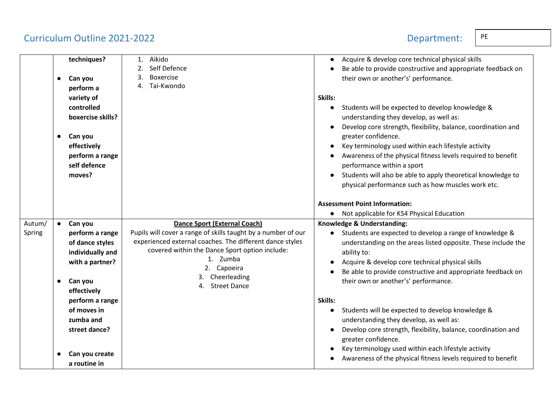# Curriculum Outline 2021-2022 Department: PE

| Department: |  |  |  |  |  |
|-------------|--|--|--|--|--|
|             |  |  |  |  |  |

|                  | $\bullet$              | techniques?<br>Can you<br>perform a<br>variety of                                                              | Aikido<br>1.<br>Self Defence<br>2.<br><b>Boxercise</b><br>3.<br>Tai-Kwondo<br>4.                                                                                                                                                                                                    | Acquire & develop core technical physical skills<br>Be able to provide constructive and appropriate feedback on<br>their own or another's' performance.<br>Skills:                                                                                                                                                                 |
|------------------|------------------------|----------------------------------------------------------------------------------------------------------------|-------------------------------------------------------------------------------------------------------------------------------------------------------------------------------------------------------------------------------------------------------------------------------------|------------------------------------------------------------------------------------------------------------------------------------------------------------------------------------------------------------------------------------------------------------------------------------------------------------------------------------|
|                  | $\bullet$              | controlled<br>boxercise skills?<br>Can you<br>effectively                                                      |                                                                                                                                                                                                                                                                                     | Students will be expected to develop knowledge &<br>understanding they develop, as well as:<br>Develop core strength, flexibility, balance, coordination and<br>greater confidence.<br>Key terminology used within each lifestyle activity                                                                                         |
|                  |                        | perform a range<br>self defence<br>moves?                                                                      |                                                                                                                                                                                                                                                                                     | Awareness of the physical fitness levels required to benefit<br>performance within a sport<br>Students will also be able to apply theoretical knowledge to<br>physical performance such as how muscles work etc.                                                                                                                   |
|                  |                        |                                                                                                                |                                                                                                                                                                                                                                                                                     | <b>Assessment Point Information:</b><br>Not applicable for KS4 Physical Education                                                                                                                                                                                                                                                  |
| Autum/<br>Spring | $\bullet$<br>$\bullet$ | Can you<br>perform a range<br>of dance styles<br>individually and<br>with a partner?<br>Can you<br>effectively | <b>Dance Sport (External Coach)</b><br>Pupils will cover a range of skills taught by a number of our<br>experienced external coaches. The different dance styles<br>covered within the Dance Sport option include:<br>1. Zumba<br>2. Capoeira<br>3. Cheerleading<br>4. Street Dance | Knowledge & Understanding:<br>• Students are expected to develop a range of knowledge &<br>understanding on the areas listed opposite. These include the<br>ability to:<br>Acquire & develop core technical physical skills<br>Be able to provide constructive and appropriate feedback on<br>their own or another's' performance. |
|                  |                        | perform a range<br>of moves in<br>zumba and<br>street dance?<br>Can you create                                 |                                                                                                                                                                                                                                                                                     | Skills:<br>Students will be expected to develop knowledge &<br>understanding they develop, as well as:<br>Develop core strength, flexibility, balance, coordination and<br>greater confidence.<br>Key terminology used within each lifestyle activity<br>Awareness of the physical fitness levels required to benefit              |
|                  |                        | a routine in                                                                                                   |                                                                                                                                                                                                                                                                                     |                                                                                                                                                                                                                                                                                                                                    |